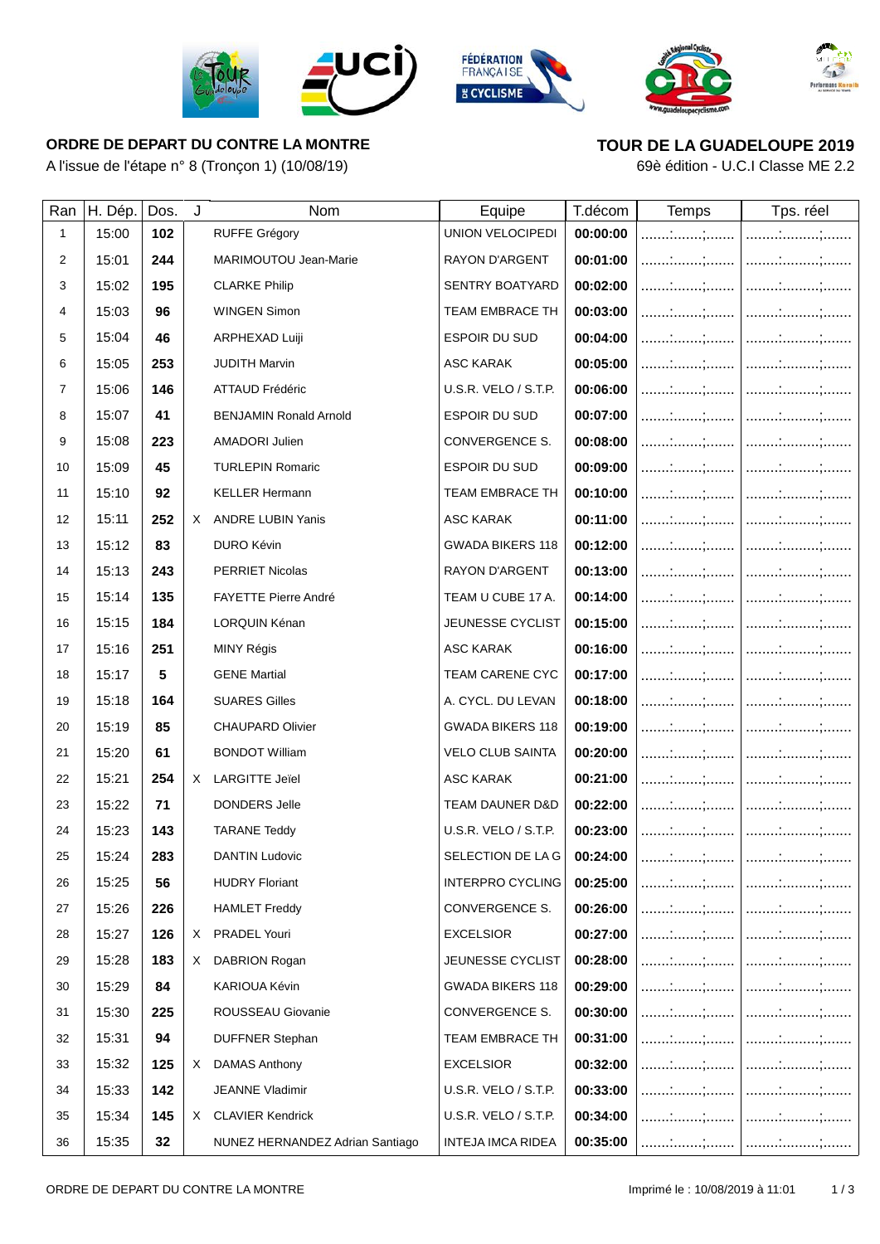







## **ORDRE DE DEPART DU CONTRE LA MONTRE**

A l'issue de l'étape n° 8 (Tronçon 1) (10/08/19)



69è édition - U.C.I Classe ME 2.2

| Ran            | H. Dép. | Dos. | J | Nom                             | Equipe                             | T.décom  | <b>Temps</b> | Tps. réel |
|----------------|---------|------|---|---------------------------------|------------------------------------|----------|--------------|-----------|
| 1              | 15:00   | 102  |   | <b>RUFFE Grégory</b>            | <b>UNION VELOCIPEDI</b>            | 00:00:00 |              |           |
| 2              | 15:01   | 244  |   | MARIMOUTOU Jean-Marie           | <b>RAYON D'ARGENT</b>              | 00:01:00 |              |           |
| 3              | 15:02   | 195  |   | <b>CLARKE Philip</b>            | <b>SENTRY BOATYARD</b>             | 00:02:00 |              |           |
| 4              | 15:03   | 96   |   | <b>WINGEN Simon</b>             | TEAM EMBRACE TH                    | 00:03:00 |              |           |
| 5              | 15:04   | 46   |   | ARPHEXAD Luiji                  | ESPOIR DU SUD                      | 00:04:00 |              |           |
| 6              | 15:05   | 253  |   | <b>JUDITH Marvin</b>            | ASC KARAK                          | 00:05:00 |              |           |
| $\overline{7}$ | 15:06   | 146  |   | ATTAUD Frédéric                 | U.S.R. VELO / S.T.P.               | 00:06:00 |              |           |
| 8              | 15:07   | 41   |   | <b>BENJAMIN Ronald Arnold</b>   | <b>ESPOIR DU SUD</b>               | 00:07:00 |              |           |
| 9              | 15:08   | 223  |   | <b>AMADORI Julien</b>           | CONVERGENCE S.                     | 00:08:00 |              |           |
| 10             | 15:09   | 45   |   | <b>TURLEPIN Romaric</b>         | ESPOIR DU SUD                      | 00:09:00 |              |           |
| 11             | 15:10   | 92   |   | <b>KELLER Hermann</b>           | TEAM EMBRACE TH                    | 00:10:00 |              |           |
| 12             | 15:11   | 252  | X | <b>ANDRE LUBIN Yanis</b>        | ASC KARAK                          | 00:11:00 |              |           |
| 13             | 15:12   | 83   |   | DURO Kévin                      | <b>GWADA BIKERS 118</b>            | 00:12:00 |              |           |
| 14             | 15:13   | 243  |   | PERRIET Nicolas                 | <b>RAYON D'ARGENT</b>              | 00:13:00 |              |           |
| 15             | 15:14   | 135  |   | <b>FAYETTE Pierre André</b>     | TEAM U CUBE 17 A.                  | 00:14:00 |              |           |
| 16             | 15:15   | 184  |   | LORQUIN Kénan                   | <b>JEUNESSE CYCLIST</b>            | 00:15:00 |              |           |
| 17             | 15:16   | 251  |   | MINY Régis                      | ASC KARAK                          | 00:16:00 |              |           |
| 18             | 15:17   | 5    |   | <b>GENE Martial</b>             | TEAM CARENE CYC                    | 00:17:00 |              |           |
| 19             | 15:18   | 164  |   | <b>SUARES Gilles</b>            | A. CYCL. DU LEVAN                  | 00:18:00 |              |           |
| 20             | 15:19   | 85   |   | <b>CHAUPARD Olivier</b>         | <b>GWADA BIKERS 118</b>            | 00:19:00 |              |           |
| 21             | 15:20   | 61   |   | <b>BONDOT William</b>           | <b>VELO CLUB SAINTA</b>            | 00:20:00 |              |           |
| 22             | 15:21   | 254  |   | X LARGITTE Jeïel                | <b>ASC KARAK</b>                   | 00:21:00 |              |           |
| 23             | 15:22   | 71   |   | DONDERS Jelle                   | <b>TEAM DAUNER D&amp;D</b>         | 00:22:00 |              |           |
| 24             | 15:23   | 143  |   | <b>TARANE Teddy</b>             | U.S.R. VELO / S.T.P.               | 00:23:00 |              |           |
| 25             | 15:24   | 283  |   | <b>DANTIN Ludovic</b>           | SELECTION DE LA G $\vert$ 00:24:00 |          |              |           |
| 26             | 15:25   | 56   |   | <b>HUDRY Floriant</b>           | <b>INTERPRO CYCLING</b>            | 00:25:00 |              |           |
| 27             | 15:26   | 226  |   | <b>HAMLET Freddy</b>            | CONVERGENCE S.                     | 00:26:00 |              |           |
| 28             | 15:27   | 126  | X | PRADEL Youri                    | EXCELSIOR                          | 00:27:00 |              |           |
| 29             | 15:28   | 183  |   | X DABRION Rogan                 | JEUNESSE CYCLIST                   | 00:28:00 |              |           |
| 30             | 15:29   | 84   |   | KARIOUA Kévin                   | <b>GWADA BIKERS 118</b>            | 00:29:00 |              |           |
| 31             | 15:30   | 225  |   | ROUSSEAU Giovanie               | CONVERGENCE S.                     | 00:30:00 |              |           |
| 32             | 15:31   | 94   |   | <b>DUFFNER Stephan</b>          | TEAM EMBRACE TH                    | 00:31:00 |              |           |
| 33             | 15:32   | 125  | X | <b>DAMAS Anthony</b>            | <b>EXCELSIOR</b>                   | 00:32:00 |              |           |
| 34             | 15:33   | 142  |   | JEANNE Vladimir                 | U.S.R. VELO / S.T.P.               | 00:33:00 |              |           |
| 35             | 15:34   | 145  |   | X CLAVIER Kendrick              | U.S.R. VELO / S.T.P.               | 00:34:00 |              |           |
| 36             | 15:35   | 32   |   | NUNEZ HERNANDEZ Adrian Santiago | <b>INTEJA IMCA RIDEA</b>           | 00:35:00 |              |           |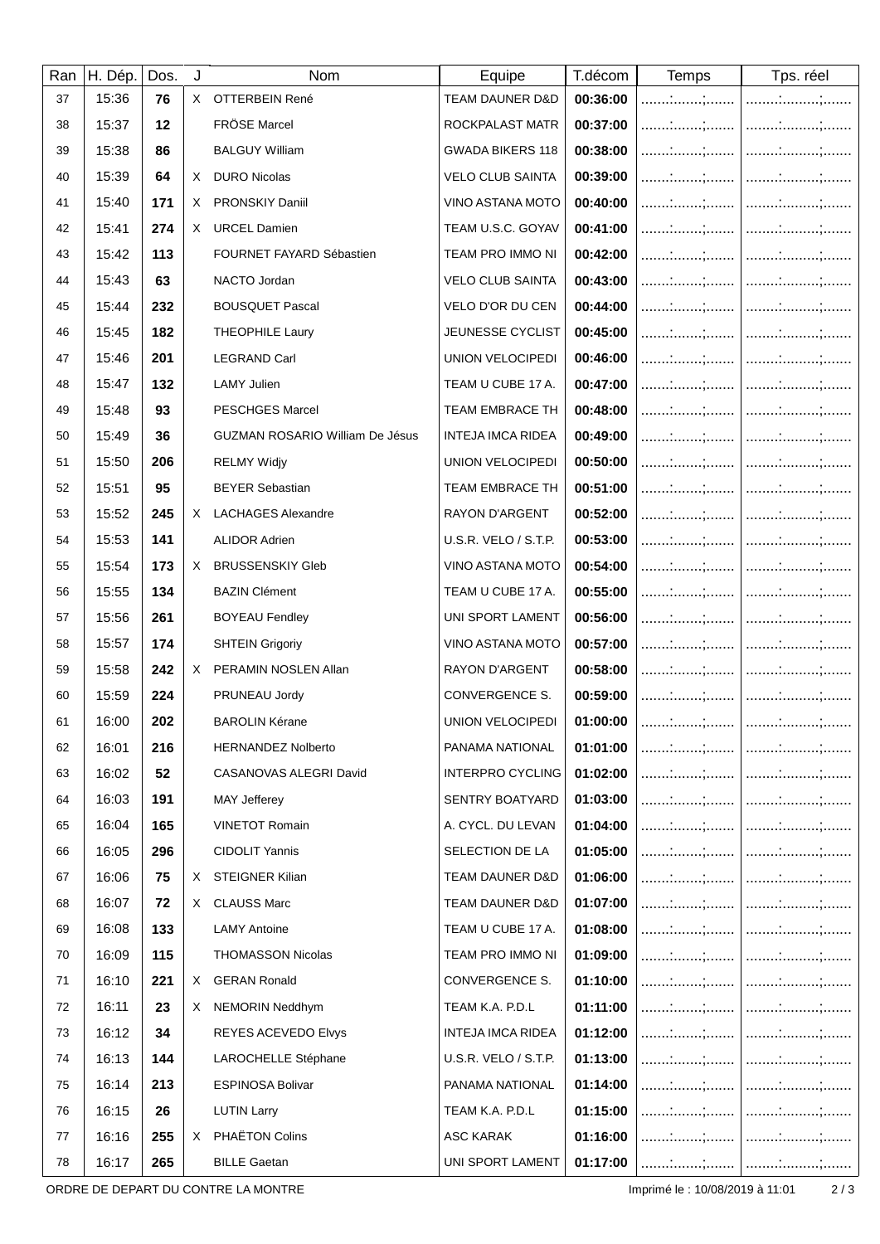| Ran | H. Dép. | Dos. | J  | Nom                                    | Equipe                     | T.décom  | <b>Temps</b>                  | Tps. réel    |
|-----|---------|------|----|----------------------------------------|----------------------------|----------|-------------------------------|--------------|
| 37  | 15:36   | 76   | X. | OTTERBEIN René                         | <b>TEAM DAUNER D&amp;D</b> | 00:36:00 |                               |              |
| 38  | 15:37   | 12   |    | FRÖSE Marcel                           | ROCKPALAST MATR            | 00:37:00 |                               |              |
| 39  | 15:38   | 86   |    | <b>BALGUY William</b>                  | <b>GWADA BIKERS 118</b>    | 00:38:00 |                               |              |
| 40  | 15:39   | 64   | X  | <b>DURO Nicolas</b>                    | <b>VELO CLUB SAINTA</b>    | 00:39:00 |                               |              |
| 41  | 15:40   | 171  | X. | PRONSKIY Daniil                        | VINO ASTANA MOTO           | 00:40:00 |                               |              |
| 42  | 15:41   | 274  | X. | <b>URCEL Damien</b>                    | TEAM U.S.C. GOYAV          | 00:41:00 |                               |              |
| 43  | 15:42   | 113  |    | FOURNET FAYARD Sébastien               | TEAM PRO IMMO NI           | 00:42:00 |                               |              |
| 44  | 15:43   | 63   |    | NACTO Jordan                           | <b>VELO CLUB SAINTA</b>    | 00:43:00 | :;                            |              |
| 45  | 15:44   | 232  |    | <b>BOUSQUET Pascal</b>                 | VELO D'OR DU CEN           | 00:44:00 |                               |              |
| 46  | 15:45   | 182  |    | <b>THEOPHILE Laury</b>                 | JEUNESSE CYCLIST           | 00:45:00 |                               |              |
| 47  | 15:46   | 201  |    | <b>LEGRAND Carl</b>                    | UNION VELOCIPEDI           | 00:46:00 |                               |              |
| 48  | 15:47   | 132  |    | <b>LAMY Julien</b>                     | TEAM U CUBE 17 A.          | 00:47:00 |                               |              |
| 49  | 15:48   | 93   |    | <b>PESCHGES Marcel</b>                 | TEAM EMBRACE TH            | 00:48:00 |                               |              |
| 50  | 15:49   | 36   |    | <b>GUZMAN ROSARIO William De Jésus</b> | INTEJA IMCA RIDEA          | 00:49:00 |                               |              |
| 51  | 15:50   | 206  |    | <b>RELMY Widjy</b>                     | UNION VELOCIPEDI           | 00:50:00 |                               |              |
| 52  | 15:51   | 95   |    | <b>BEYER Sebastian</b>                 | <b>TEAM EMBRACE TH</b>     | 00:51:00 |                               |              |
| 53  | 15:52   | 245  | X  | <b>LACHAGES Alexandre</b>              | RAYON D'ARGENT             | 00:52:00 |                               |              |
| 54  | 15:53   | 141  |    | <b>ALIDOR Adrien</b>                   | U.S.R. VELO / S.T.P.       | 00:53:00 |                               |              |
| 55  | 15:54   | 173  | X. | <b>BRUSSENSKIY Gleb</b>                | VINO ASTANA MOTO           | 00:54:00 |                               |              |
| 56  | 15:55   | 134  |    | <b>BAZIN Clément</b>                   | TEAM U CUBE 17 A.          | 00:55:00 | ;                             |              |
| 57  | 15:56   | 261  |    | <b>BOYEAU Fendley</b>                  | UNI SPORT LAMENT           | 00:56:00 |                               |              |
| 58  | 15:57   | 174  |    | <b>SHTEIN Grigoriy</b>                 | <b>VINO ASTANA MOTO</b>    | 00:57:00 |                               |              |
| 59  | 15:58   | 242  |    | X PERAMIN NOSLEN Allan                 | <b>RAYON D'ARGENT</b>      | 00:58:00 |                               | <sub>.</sub> |
| 60  | 15:59   | 224  |    | PRUNEAU Jordy                          | CONVERGENCE S.             | 00:59:00 |                               |              |
| 61  | 16:00   | 202  |    | <b>BAROLIN Kérane</b>                  | <b>UNION VELOCIPEDI</b>    | 01:00:00 |                               |              |
| 62  | 16:01   | 216  |    | <b>HERNANDEZ Nolberto</b>              | PANAMA NATIONAL            | 01:01:00 | $\ldots \ldots \ldots \ldots$ | ' :;         |
| 63  | 16:02   | 52   |    | CASANOVAS ALEGRI David                 | <b>INTERPRO CYCLING</b>    | 01:02:00 |                               |              |
| 64  | 16:03   | 191  |    | <b>MAY Jefferey</b>                    | <b>SENTRY BOATYARD</b>     | 01:03:00 |                               |              |
| 65  | 16:04   | 165  |    | <b>VINETOT Romain</b>                  | A. CYCL. DU LEVAN          | 01:04:00 |                               |              |
| 66  | 16:05   | 296  |    | <b>CIDOLIT Yannis</b>                  | SELECTION DE LA            | 01:05:00 |                               |              |
| 67  | 16:06   | 75   | X. | STEIGNER Kilian                        | TEAM DAUNER D&D            | 01:06:00 |                               |              |
| 68  | 16:07   | 72   | X. | <b>CLAUSS Marc</b>                     | TEAM DAUNER D&D            | 01:07:00 |                               |              |
| 69  | 16:08   | 133  |    | <b>LAMY Antoine</b>                    | TEAM U CUBE 17 A.          | 01:08:00 |                               |              |
| 70  | 16:09   | 115  |    | <b>THOMASSON Nicolas</b>               | TEAM PRO IMMO NI           | 01:09:00 |                               |              |
| 71  | 16:10   | 221  | X. | <b>GERAN Ronald</b>                    | CONVERGENCE S.             | 01:10:00 |                               |              |
| 72  | 16:11   | 23   | X. | <b>NEMORIN Neddhym</b>                 | TEAM K.A. P.D.L            | 01:11:00 |                               |              |
| 73  | 16:12   | 34   |    | REYES ACEVEDO Elvys                    | INTEJA IMCA RIDEA          | 01:12:00 |                               |              |
| 74  | 16:13   | 144  |    | LAROCHELLE Stéphane                    | U.S.R. VELO / S.T.P.       | 01:13:00 |                               |              |
| 75  | 16:14   | 213  |    | <b>ESPINOSA Bolivar</b>                | PANAMA NATIONAL            | 01:14:00 |                               |              |
| 76  | 16:15   | 26   |    | <b>LUTIN Larry</b>                     | TEAM K.A. P.D.L            | 01:15:00 |                               |              |
| 77  | 16:16   | 255  |    | X PHAËTON Colins                       | ASC KARAK                  | 01:16:00 |                               |              |
| 78  | 16:17   | 265  |    | <b>BILLE Gaetan</b>                    | UNI SPORT LAMENT           | 01:17:00 |                               |              |

ORDRE DE DEPART DU CONTRE LA MONTRE